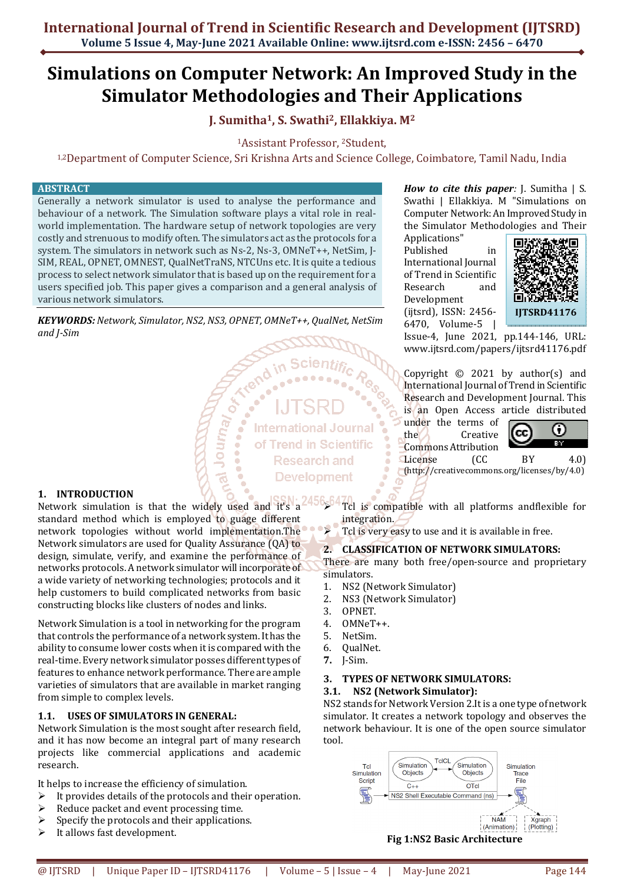**International Journal of Trend in Scientific Research and Development (IJTSRD) Volume 5 Issue 4, May-June 2021 Available Online: www.ijtsrd.com e-ISSN: 2456 – 6470**

# **Simulations on Computer Network: An Improved Study in the Simulator Methodologies and Their Applications**

# **J. Sumitha1, S. Swathi2, Ellakkiya. M<sup>2</sup>**

<sup>1</sup>Assistant Professor, 2Student,

1,2Department of Computer Science, Sri Krishna Arts and Science College, Coimbatore, Tamil Nadu, India

#### **ABSTRACT**

Generally a network simulator is used to analyse the performance and behaviour of a network. The Simulation software plays a vital role in realworld implementation. The hardware setup of network topologies are very costly and strenuous to modify often. The simulators act as the protocols for a system. The simulators in network such as Ns-2, Ns-3, OMNeT++, NetSim, J-SIM, REAL, OPNET, OMNEST, QualNetTraNS, NTCUns etc. It is quite a tedious process to select network simulator that is based up on the requirement for a users specified job. This paper gives a comparison and a general analysis of various network simulators.

*KEYWORDS: Network, Simulator, NS2, NS3, OPNET, OMNeT++, QualNet, NetSim and J-Sim* 

/equno

**International Journal** of Trend in Scientific **Research and Development** 

#### **1. INTRODUCTION**

Network simulation is that the widely used and it's a standard method which is employed to guage different network topologies without world implementation.The Network simulators are used for Quality Assurance (QA) to design, simulate, verify, and examine the performance of networks protocols. A network simulator will incorporate of a wide variety of networking technologies; protocols and it help customers to build complicated networks from basic constructing blocks like clusters of nodes and links.

Network Simulation is a tool in networking for the program that controls the performance of a network system. It has the ability to consume lower costs when it is compared with the real-time. Every network simulator posses different types of features to enhance network performance. There are ample varieties of simulators that are available in market ranging from simple to complex levels.

# **1.1. USES OF SIMULATORS IN GENERAL:**

Network Simulation is the most sought after research field, and it has now become an integral part of many research projects like commercial applications and academic research.

It helps to increase the efficiency of simulation.

- $\triangleright$  It provides details of the protocols and their operation.
- Reduce packet and event processing time.
- $\triangleright$  Specify the protocols and their applications.
- $\triangleright$  It allows fast development.

*How to cite this paper:* J. Sumitha | S. Swathi | Ellakkiya. M "Simulations on Computer Network: An Improved Study in the Simulator Methodologies and Their

Applications" Published in International Journal of Trend in Scientific Research and Development (ijtsrd), ISSN: 2456- 6470, Volume-5 |



Issue-4, June 2021, pp.144-146, URL: www.ijtsrd.com/papers/ijtsrd41176.pdf

Copyright  $\odot$  2021 by author(s) and International Journal of Trend in Scientific Research and Development Journal. This is an Open Access article distributed

under the terms of the Creative Commons Attribution



License (CC BY 4.0) (http://creativecommons.org/licenses/by/4.0)

 Tcl is compatible with all platforms andflexible for integration.

 $\triangleright$  Tcl is very easy to use and it is available in free.

#### **2. CLASSIFICATION OF NETWORK SIMULATORS:**

There are many both free/open-source and proprietary simulators.

- 1. NS2 (Network Simulator)
- 2. NS3 (Network Simulator)
- 3. OPNET.
- 4. OMNeT++.
- 5. NetSim.
- 6. QualNet.
- **7.** J-Sim.

#### **3. TYPES OF NETWORK SIMULATORS:**

# **3.1. NS2 (Network Simulator):**

NS2 stands for Network Version 2.It is a one type of network simulator. It creates a network topology and observes the network behaviour. It is one of the open source simulator tool.

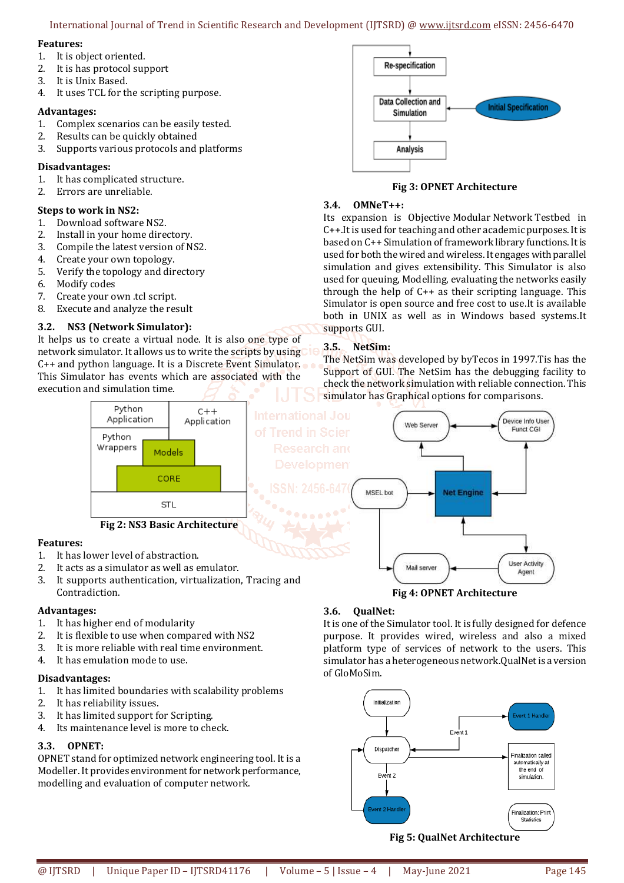International Journal of Trend in Scientific Research and Development (IJTSRD) @ www.ijtsrd.com eISSN: 2456-6470

## **Features:**

- 1. It is object oriented.
- 2. It is has protocol support
- 3. It is Unix Based.
- 4. It uses TCL for the scripting purpose.

# **Advantages:**

- 1. Complex scenarios can be easily tested.
- 2. Results can be quickly obtained
- 3. Supports various protocols and platforms

# **Disadvantages:**

- 1. It has complicated structure.
- 2. Errors are unreliable.

# **Steps to work in NS2:**

- 1. Download software NS2.
- 2. Install in your home directory.
- 3. Compile the latest version of NS2.
- 4. Create your own topology.
- 5. Verify the topology and directory
- 6. Modify codes
- 7. Create your own .tcl script.
- 8. Execute and analyze the result

# **3.2. NS3 (Network Simulator):**

It helps us to create a virtual node. It is also one type of network simulator. It allows us to write the scripts by using C++ and python language. It is a Discrete Event Simulator. This Simulator has events which are associated with the execution and simulation time.



**Fig 3: OPNET Architecture** 

### **3.4. OMNeT++:**

Its expansion is Objective Modular Network Testbed in C++.It is used for teaching and other academic purposes. It is based on C++ Simulation of framework library functions. It is used for both the wired and wireless. It engages with parallel simulation and gives extensibility. This Simulator is also used for queuing, Modelling, evaluating the networks easily through the help of C++ as their scripting language. This Simulator is open source and free cost to use.It is available both in UNIX as well as in Windows based systems.It supports GUI.

# **3.5. NetSim:**

The NetSim was developed by byTecos in 1997.Tis has the Support of GUI. The NetSim has the debugging facility to check the network simulation with reliable connection. This simulator has Graphical options for comparisons.



# **Features:**

- 1. It has lower level of abstraction.
- 2. It acts as a simulator as well as emulator.
- 3. It supports authentication, virtualization, Tracing and Contradiction.

# **Advantages:**

- 1. It has higher end of modularity
- 2. It is flexible to use when compared with NS2
- 3. It is more reliable with real time environment.
- 4. It has emulation mode to use.

# **Disadvantages:**

- 1. It has limited boundaries with scalability problems
- 2. It has reliability issues.
- 3. It has limited support for Scripting.
- 4. Its maintenance level is more to check.

# **3.3. OPNET:**

OPNET stand for optimized network engineering tool. It is a Modeller. It provides environment for network performance, modelling and evaluation of computer network.

# **3.6. QualNet:**

It is one of the Simulator tool. It is fully designed for defence purpose. It provides wired, wireless and also a mixed platform type of services of network to the users. This simulator has a heterogeneous network.QualNet is a version of GloMoSim.

**Fig 4: OPNET Architecture** 



**Fig 5: QualNet Architecture**